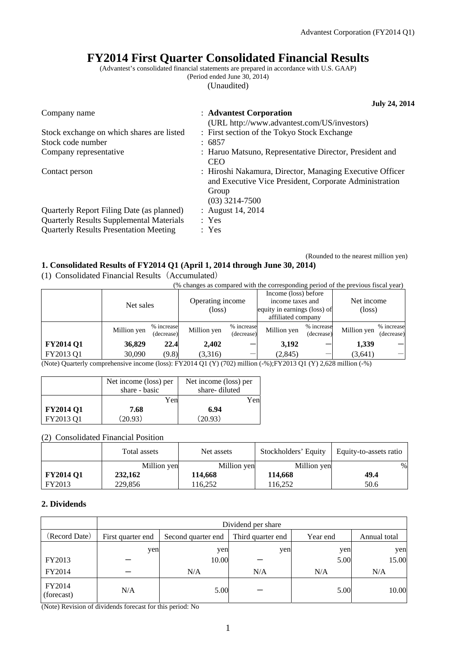# **FY2014 First Quarter Consolidated Financial Results**

(Advantest's consolidated financial statements are prepared in accordance with U.S. GAAP) (Period ended June 30, 2014)

(Unaudited)

|                                                 | <b>July 24, 2014</b>                                                                                                                            |
|-------------------------------------------------|-------------------------------------------------------------------------------------------------------------------------------------------------|
| Company name                                    | : Advantest Corporation<br>(URL http://www.advantest.com/US/investors)                                                                          |
| Stock exchange on which shares are listed       | : First section of the Tokyo Stock Exchange                                                                                                     |
| Stock code number                               | : 6857                                                                                                                                          |
| Company representative                          | : Haruo Matsuno, Representative Director, President and<br><b>CEO</b>                                                                           |
| Contact person                                  | : Hiroshi Nakamura, Director, Managing Executive Officer<br>and Executive Vice President, Corporate Administration<br>Group<br>$(03)$ 3214-7500 |
| Quarterly Report Filing Date (as planned)       | : August $14, 2014$                                                                                                                             |
| <b>Quarterly Results Supplemental Materials</b> | : Yes                                                                                                                                           |
| <b>Quarterly Results Presentation Meeting</b>   | : Yes                                                                                                                                           |

#### (Rounded to the nearest million yen) **1. Consolidated Results of FY2014 Q1 (April 1, 2014 through June 30, 2014)**

(1) Consolidated Financial Results(Accumulated)

(% changes as compared with the corresponding period of the previous fiscal year)

|                                                                                                                                   | Net sales   |                          | Operating income<br>(loss) |                          | Income (loss) before<br>income taxes and<br>equity in earnings (loss) of<br>affiliated company |                          | Net income<br>$(\text{loss})$ |                          |
|-----------------------------------------------------------------------------------------------------------------------------------|-------------|--------------------------|----------------------------|--------------------------|------------------------------------------------------------------------------------------------|--------------------------|-------------------------------|--------------------------|
|                                                                                                                                   | Million yen | % increase<br>(decrease) | Million yen                | % increase<br>(decrease) | Million yen                                                                                    | % increase<br>(decrease) | Million yen                   | % increase<br>(decrease) |
| <b>FY2014 Q1</b>                                                                                                                  | 36,829      | 22.4                     | 2.402                      |                          | 3.192                                                                                          |                          | 1,339                         |                          |
| FY2013 Q1                                                                                                                         | 30,090      | (9.8)                    | (3,316)                    |                          | (2, 845)                                                                                       |                          | (3,641)                       |                          |
| (Note) Querterly comprehensive income (loss): $EVA014(01/V)(702)$ million ( $\alpha$ ): $EVA012(01/V)$ 2.629 million ( $\alpha$ ) |             |                          |                            |                          |                                                                                                |                          |                               |                          |

(Note) Quarterly comprehensive income (loss): FY2014 Q1 (Y) (702) million (-%);FY2013 Q1 (Y) 2,628 million (-%)

|                  | Net income (loss) per | Net income (loss) per |  |
|------------------|-----------------------|-----------------------|--|
|                  | share - basic         | share-diluted         |  |
|                  | Yen                   | Yen                   |  |
| <b>FY2014 Q1</b> | 7.68                  | 6.94                  |  |
| FY2013 Q1        | (20.93)               | (20.93)               |  |

(2) Consolidated Financial Position

|                  | Total assets | Net assets  | Stockholders' Equity | Equity-to-assets ratio |
|------------------|--------------|-------------|----------------------|------------------------|
|                  | Million yen  | Million yen | Million yen          | %                      |
| <b>FY2014 Q1</b> | 232,162      | 114.668     | 114.668              | 49.4                   |
| FY2013           | 229,856      | 116.252     | 16.252               | 50.6                   |

## **2. Dividends**

|                      | Dividend per share |                    |                   |          |              |  |
|----------------------|--------------------|--------------------|-------------------|----------|--------------|--|
| (Record Date)        | First quarter end  | Second quarter end | Third quarter end | Year end | Annual total |  |
|                      | yen                | yen                | yen               | yen      | yen          |  |
| FY2013               |                    | 10.00              |                   | 5.00     | 15.00        |  |
| FY2014               |                    | N/A                | N/A               | N/A      | N/A          |  |
| FY2014<br>(forecast) | N/A                | 5.00               |                   | 5.00     | 10.00        |  |

(Note) Revision of dividends forecast for this period: No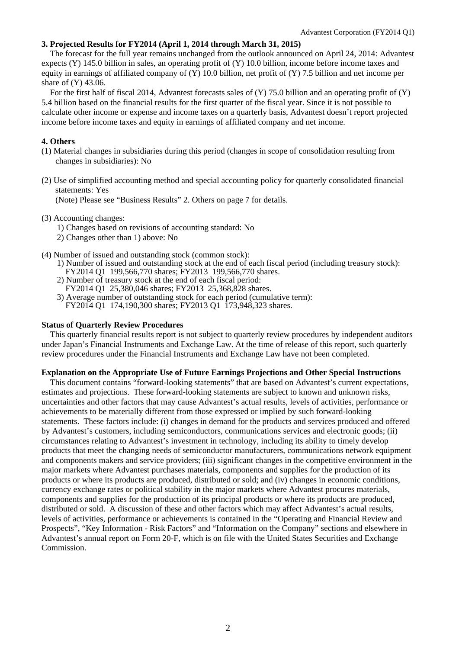### **3. Projected Results for FY2014 (April 1, 2014 through March 31, 2015)**

The forecast for the full year remains unchanged from the outlook announced on April 24, 2014: Advantest expects (Y) 145.0 billion in sales, an operating profit of (Y) 10.0 billion, income before income taxes and equity in earnings of affiliated company of (Y) 10.0 billion, net profit of (Y) 7.5 billion and net income per share of (Y) 43.06.

For the first half of fiscal 2014, Advantest forecasts sales of (Y) 75.0 billion and an operating profit of (Y) 5.4 billion based on the financial results for the first quarter of the fiscal year. Since it is not possible to calculate other income or expense and income taxes on a quarterly basis, Advantest doesn't report projected income before income taxes and equity in earnings of affiliated company and net income.

#### **4. Others**

- (1) Material changes in subsidiaries during this period (changes in scope of consolidation resulting from changes in subsidiaries): No
- (2) Use of simplified accounting method and special accounting policy for quarterly consolidated financial statements: Yes

(Note) Please see "Business Results" 2. Others on page 7 for details.

#### (3) Accounting changes:

- 1) Changes based on revisions of accounting standard: No
- 2) Changes other than 1) above: No
- (4) Number of issued and outstanding stock (common stock):
	- 1) Number of issued and outstanding stock at the end of each fiscal period (including treasury stock): FY2014 Q1 199,566,770 shares; FY2013 199,566,770 shares.
	- 2) Number of treasury stock at the end of each fiscal period:
	- FY2014 Q1 25,380,046 shares; FY2013 25,368,828 shares.
	- 3) Average number of outstanding stock for each period (cumulative term): FY2014 Q1 174,190,300 shares; FY2013 Q1 173,948,323 shares.

## **Status of Quarterly Review Procedures**

This quarterly financial results report is not subject to quarterly review procedures by independent auditors under Japan's Financial Instruments and Exchange Law. At the time of release of this report, such quarterly review procedures under the Financial Instruments and Exchange Law have not been completed.

### **Explanation on the Appropriate Use of Future Earnings Projections and Other Special Instructions**

This document contains "forward-looking statements" that are based on Advantest's current expectations, estimates and projections. These forward-looking statements are subject to known and unknown risks, uncertainties and other factors that may cause Advantest's actual results, levels of activities, performance or achievements to be materially different from those expressed or implied by such forward-looking statements. These factors include: (i) changes in demand for the products and services produced and offered by Advantest's customers, including semiconductors, communications services and electronic goods; (ii) circumstances relating to Advantest's investment in technology, including its ability to timely develop products that meet the changing needs of semiconductor manufacturers, communications network equipment and components makers and service providers; (iii) significant changes in the competitive environment in the major markets where Advantest purchases materials, components and supplies for the production of its products or where its products are produced, distributed or sold; and (iv) changes in economic conditions, currency exchange rates or political stability in the major markets where Advantest procures materials, components and supplies for the production of its principal products or where its products are produced, distributed or sold. A discussion of these and other factors which may affect Advantest's actual results, levels of activities, performance or achievements is contained in the "Operating and Financial Review and Prospects", "Key Information - Risk Factors" and "Information on the Company" sections and elsewhere in Advantest's annual report on Form 20-F, which is on file with the United States Securities and Exchange **Commission**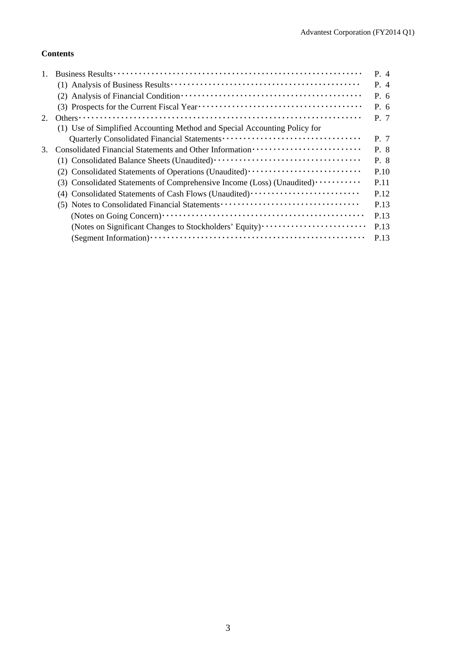## **Contents**

|    |                                                                           | P. 4 |
|----|---------------------------------------------------------------------------|------|
|    |                                                                           | P. 4 |
|    |                                                                           | P. 6 |
|    |                                                                           | P.6  |
| 2. |                                                                           | P. 7 |
|    | (1) Use of Simplified Accounting Method and Special Accounting Policy for |      |
|    |                                                                           | P. 7 |
| 3. |                                                                           | P. 8 |
|    |                                                                           | P. 8 |
|    | (2) Consolidated Statements of Operations (Unaudited)                     | P.10 |
|    | (3) Consolidated Statements of Comprehensive Income (Loss) (Unaudited)    | P.11 |
|    | (4) Consolidated Statements of Cash Flows (Unaudited)                     | P.12 |
|    |                                                                           | P.13 |
|    |                                                                           | P.13 |
|    | (Notes on Significant Changes to Stockholders' Equity)                    | P.13 |
|    |                                                                           | P.13 |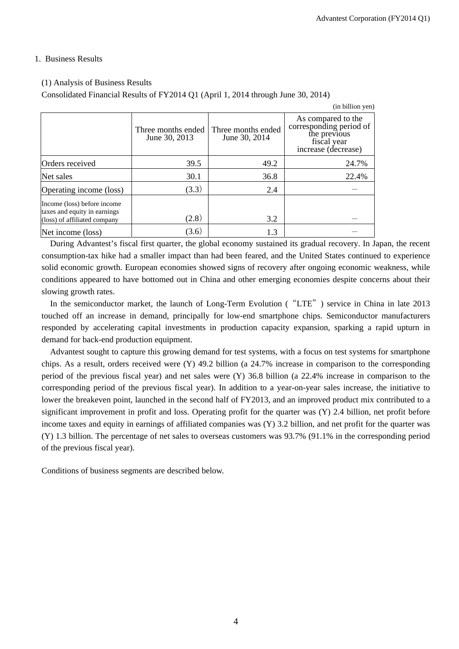## 1. Business Results

### (1) Analysis of Business Results

Consolidated Financial Results of FY2014 Q1 (April 1, 2014 through June 30, 2014)

|                                                                                             |                                     |                                     | (in billion yen)                                                                                    |
|---------------------------------------------------------------------------------------------|-------------------------------------|-------------------------------------|-----------------------------------------------------------------------------------------------------|
|                                                                                             | Three months ended<br>June 30, 2013 | Three months ended<br>June 30, 2014 | As compared to the<br>corresponding period of<br>the previous<br>fiscal year<br>increase (decrease) |
| Orders received                                                                             | 39.5                                | 49.2                                | 24.7%                                                                                               |
| Net sales                                                                                   | 30.1                                | 36.8                                | 22.4%                                                                                               |
| Operating income (loss)                                                                     | (3.3)                               | 2.4                                 |                                                                                                     |
| Income (loss) before income<br>taxes and equity in earnings<br>(loss) of affiliated company | (2.8)                               | 3.2                                 |                                                                                                     |
| Net income (loss)                                                                           | (3.6)                               | 1.3                                 |                                                                                                     |

During Advantest's fiscal first quarter, the global economy sustained its gradual recovery. In Japan, the recent consumption-tax hike had a smaller impact than had been feared, and the United States continued to experience solid economic growth. European economies showed signs of recovery after ongoing economic weakness, while conditions appeared to have bottomed out in China and other emerging economies despite concerns about their slowing growth rates.

In the semiconductor market, the launch of Long-Term Evolution ("LTE") service in China in late 2013 touched off an increase in demand, principally for low-end smartphone chips. Semiconductor manufacturers responded by accelerating capital investments in production capacity expansion, sparking a rapid upturn in demand for back-end production equipment.

Advantest sought to capture this growing demand for test systems, with a focus on test systems for smartphone chips. As a result, orders received were (Y) 49.2 billion (a 24.7% increase in comparison to the corresponding period of the previous fiscal year) and net sales were (Y) 36.8 billion (a 22.4% increase in comparison to the corresponding period of the previous fiscal year). In addition to a year-on-year sales increase, the initiative to lower the breakeven point, launched in the second half of FY2013, and an improved product mix contributed to a significant improvement in profit and loss. Operating profit for the quarter was (Y) 2.4 billion, net profit before income taxes and equity in earnings of affiliated companies was (Y) 3.2 billion, and net profit for the quarter was (Y) 1.3 billion. The percentage of net sales to overseas customers was 93.7% (91.1% in the corresponding period of the previous fiscal year).

Conditions of business segments are described below.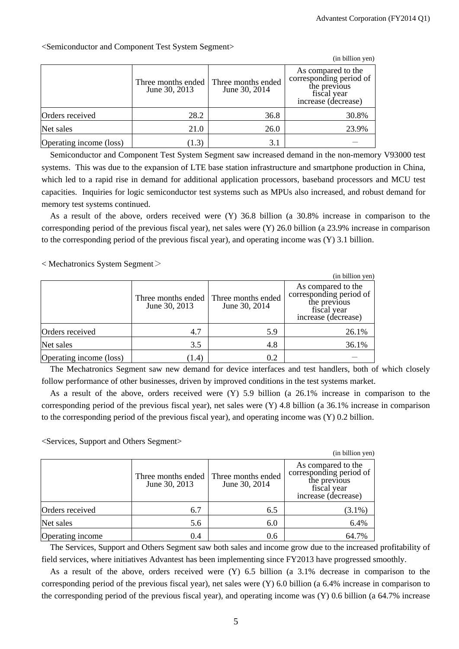|                         |                                     |                                     | (in billion yen)                                                                                    |
|-------------------------|-------------------------------------|-------------------------------------|-----------------------------------------------------------------------------------------------------|
|                         | Three months ended<br>June 30, 2013 | Three months ended<br>June 30, 2014 | As compared to the<br>corresponding period of<br>the previous<br>fiscal year<br>increase (decrease) |
| Orders received         | 28.2                                | 36.8                                | 30.8%                                                                                               |
| Net sales               | 21.0                                | 26.0                                | 23.9%                                                                                               |
| Operating income (loss) | (1.3)                               | 3.1                                 |                                                                                                     |

<Semiconductor and Component Test System Segment>

Semiconductor and Component Test System Segment saw increased demand in the non-memory V93000 test systems. This was due to the expansion of LTE base station infrastructure and smartphone production in China, which led to a rapid rise in demand for additional application processors, baseband processors and MCU test capacities. Inquiries for logic semiconductor test systems such as MPUs also increased, and robust demand for memory test systems continued.

As a result of the above, orders received were (Y) 36.8 billion (a 30.8% increase in comparison to the corresponding period of the previous fiscal year), net sales were (Y) 26.0 billion (a 23.9% increase in comparison to the corresponding period of the previous fiscal year), and operating income was (Y) 3.1 billion.

< Mechatronics System Segment>

|                         |                                     |                                     | (in billion yen)                                                                                    |
|-------------------------|-------------------------------------|-------------------------------------|-----------------------------------------------------------------------------------------------------|
|                         | Three months ended<br>June 30, 2013 | Three months ended<br>June 30, 2014 | As compared to the<br>corresponding period of<br>the previous<br>fiscal year<br>increase (decrease) |
| Orders received         | 4.7                                 | 5.9                                 | 26.1%                                                                                               |
| Net sales               | 3.5                                 | 4.8                                 | 36.1%                                                                                               |
| Operating income (loss) | (1.4)                               | 0.2                                 |                                                                                                     |

The Mechatronics Segment saw new demand for device interfaces and test handlers, both of which closely follow performance of other businesses, driven by improved conditions in the test systems market.

As a result of the above, orders received were (Y) 5.9 billion (a 26.1% increase in comparison to the corresponding period of the previous fiscal year), net sales were (Y) 4.8 billion (a 36.1% increase in comparison to the corresponding period of the previous fiscal year), and operating income was (Y) 0.2 billion.

<Services, Support and Others Segment>

|                  |                                     |                                     | (in billion yen)                                                                                    |
|------------------|-------------------------------------|-------------------------------------|-----------------------------------------------------------------------------------------------------|
|                  | Three months ended<br>June 30, 2013 | Three months ended<br>June 30, 2014 | As compared to the<br>corresponding period of<br>the previous<br>fiscal year<br>increase (decrease) |
| Orders received  | 6.7                                 | 6.5                                 | $(3.1\%)$                                                                                           |
| Net sales        | 5.6                                 | 6.0                                 | 6.4%                                                                                                |
| Operating income | 0.4                                 | 0.6                                 | 64.7%                                                                                               |

The Services, Support and Others Segment saw both sales and income grow due to the increased profitability of field services, where initiatives Advantest has been implementing since FY2013 have progressed smoothly.

As a result of the above, orders received were (Y) 6.5 billion (a 3.1% decrease in comparison to the corresponding period of the previous fiscal year), net sales were (Y) 6.0 billion (a 6.4% increase in comparison to the corresponding period of the previous fiscal year), and operating income was (Y) 0.6 billion (a 64.7% increase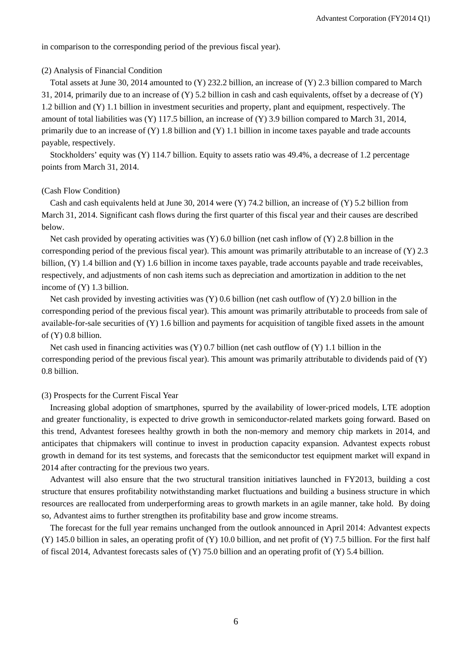in comparison to the corresponding period of the previous fiscal year).

#### (2) Analysis of Financial Condition

Total assets at June 30, 2014 amounted to (Y) 232.2 billion, an increase of (Y) 2.3 billion compared to March 31, 2014, primarily due to an increase of (Y) 5.2 billion in cash and cash equivalents, offset by a decrease of (Y) 1.2 billion and (Y) 1.1 billion in investment securities and property, plant and equipment, respectively. The amount of total liabilities was (Y) 117.5 billion, an increase of (Y) 3.9 billion compared to March 31, 2014, primarily due to an increase of (Y) 1.8 billion and (Y) 1.1 billion in income taxes payable and trade accounts payable, respectively.

Stockholders' equity was (Y) 114.7 billion. Equity to assets ratio was 49.4%, a decrease of 1.2 percentage points from March 31, 2014.

#### (Cash Flow Condition)

Cash and cash equivalents held at June 30, 2014 were (Y) 74.2 billion, an increase of (Y) 5.2 billion from March 31, 2014. Significant cash flows during the first quarter of this fiscal year and their causes are described below.

Net cash provided by operating activities was  $(Y)$  6.0 billion (net cash inflow of  $(Y)$ ) 2.8 billion in the corresponding period of the previous fiscal year). This amount was primarily attributable to an increase of  $(Y)$  2.3 billion, (Y) 1.4 billion and (Y) 1.6 billion in income taxes payable, trade accounts payable and trade receivables, respectively, and adjustments of non cash items such as depreciation and amortization in addition to the net income of (Y) 1.3 billion.

Net cash provided by investing activities was (Y) 0.6 billion (net cash outflow of (Y) 2.0 billion in the corresponding period of the previous fiscal year). This amount was primarily attributable to proceeds from sale of available-for-sale securities of (Y) 1.6 billion and payments for acquisition of tangible fixed assets in the amount of (Y) 0.8 billion.

Net cash used in financing activities was  $(Y)$  0.7 billion (net cash outflow of  $(Y)$  1.1 billion in the corresponding period of the previous fiscal year). This amount was primarily attributable to dividends paid of (Y) 0.8 billion.

#### (3) Prospects for the Current Fiscal Year

Increasing global adoption of smartphones, spurred by the availability of lower-priced models, LTE adoption and greater functionality, is expected to drive growth in semiconductor-related markets going forward. Based on this trend, Advantest foresees healthy growth in both the non-memory and memory chip markets in 2014, and anticipates that chipmakers will continue to invest in production capacity expansion. Advantest expects robust growth in demand for its test systems, and forecasts that the semiconductor test equipment market will expand in 2014 after contracting for the previous two years.

Advantest will also ensure that the two structural transition initiatives launched in FY2013, building a cost structure that ensures profitability notwithstanding market fluctuations and building a business structure in which resources are reallocated from underperforming areas to growth markets in an agile manner, take hold. By doing so, Advantest aims to further strengthen its profitability base and grow income streams.

 The forecast for the full year remains unchanged from the outlook announced in April 2014: Advantest expects (Y) 145.0 billion in sales, an operating profit of (Y) 10.0 billion, and net profit of (Y) 7.5 billion. For the first half of fiscal 2014, Advantest forecasts sales of (Y) 75.0 billion and an operating profit of (Y) 5.4 billion.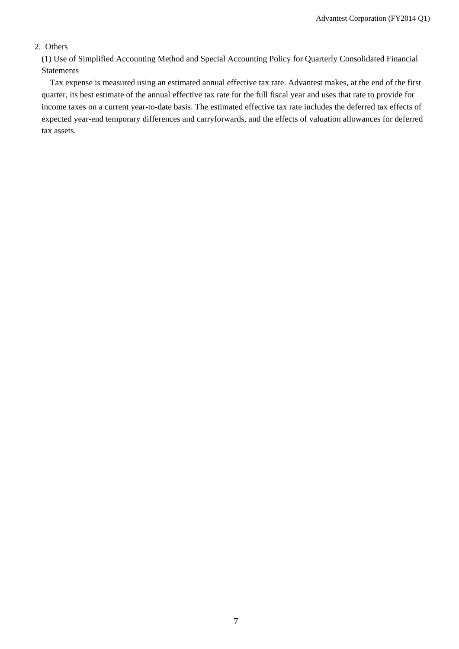## 2. Others

(1) Use of Simplified Accounting Method and Special Accounting Policy for Quarterly Consolidated Financial Statements

Tax expense is measured using an estimated annual effective tax rate. Advantest makes, at the end of the first quarter, its best estimate of the annual effective tax rate for the full fiscal year and uses that rate to provide for income taxes on a current year-to-date basis. The estimated effective tax rate includes the deferred tax effects of expected year-end temporary differences and carryforwards, and the effects of valuation allowances for deferred tax assets.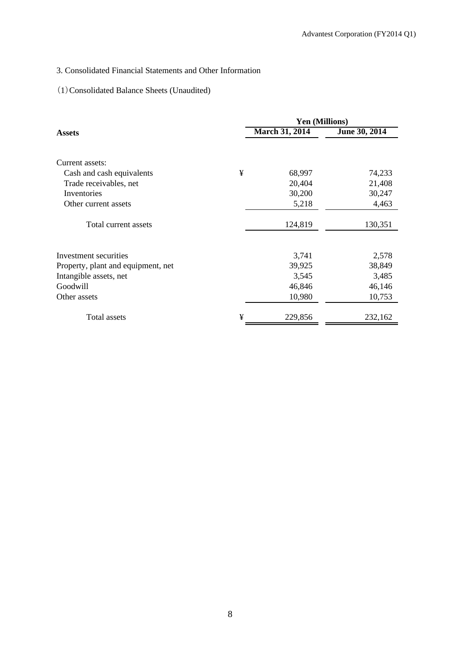## 3. Consolidated Financial Statements and Other Information

## (1)Consolidated Balance Sheets (Unaudited)

|                                    |   | <b>Yen (Millions)</b> |                 |
|------------------------------------|---|-----------------------|-----------------|
| <b>Assets</b>                      |   | <b>March 31, 2014</b> | June 30, 2014   |
| Current assets:                    |   |                       |                 |
| Cash and cash equivalents          | ¥ | 68,997                | 74,233          |
| Trade receivables, net             |   | 20,404                | 21,408          |
| Inventories                        |   | 30,200                | 30,247          |
| Other current assets               |   | 5,218                 | 4,463           |
| Total current assets               |   | 124,819               | 130,351         |
| Investment securities              |   |                       |                 |
|                                    |   | 3,741<br>39,925       | 2,578<br>38,849 |
| Property, plant and equipment, net |   |                       |                 |
| Intangible assets, net             |   | 3,545                 | 3,485           |
| Goodwill                           |   | 46,846                | 46,146          |
| Other assets                       |   | 10,980                | 10,753          |
| Total assets                       | ¥ | 229,856               | 232,162         |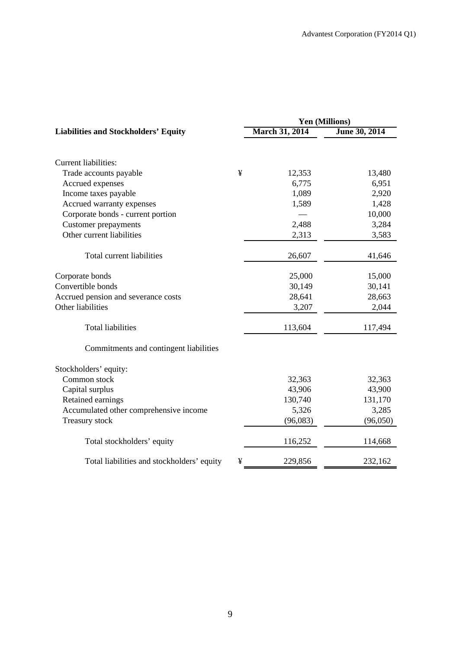|                                                 | Yen (Millions)        |               |  |
|-------------------------------------------------|-----------------------|---------------|--|
| <b>Liabilities and Stockholders' Equity</b>     | <b>March 31, 2014</b> | June 30, 2014 |  |
|                                                 |                       |               |  |
| <b>Current liabilities:</b>                     |                       |               |  |
| ¥<br>Trade accounts payable                     | 12,353                | 13,480        |  |
| Accrued expenses                                | 6,775                 | 6,951         |  |
| Income taxes payable                            | 1,089                 | 2,920         |  |
| Accrued warranty expenses                       | 1,589                 | 1,428         |  |
| Corporate bonds - current portion               |                       | 10,000        |  |
| Customer prepayments                            | 2,488                 | 3,284         |  |
| Other current liabilities                       | 2,313                 | 3,583         |  |
| Total current liabilities                       | 26,607                | 41,646        |  |
| Corporate bonds                                 | 25,000                | 15,000        |  |
| Convertible bonds                               | 30,149                | 30,141        |  |
| Accrued pension and severance costs             | 28,641                | 28,663        |  |
| Other liabilities                               | 3,207                 | 2,044         |  |
| <b>Total liabilities</b>                        | 113,604               | 117,494       |  |
| Commitments and contingent liabilities          |                       |               |  |
| Stockholders' equity:                           |                       |               |  |
| Common stock                                    | 32,363                | 32,363        |  |
| Capital surplus                                 | 43,906                | 43,900        |  |
| Retained earnings                               | 130,740               | 131,170       |  |
| Accumulated other comprehensive income          | 5,326                 | 3,285         |  |
| Treasury stock                                  | (96,083)              | (96,050)      |  |
| Total stockholders' equity                      | 116,252               | 114,668       |  |
| Total liabilities and stockholders' equity<br>¥ | 229,856               | 232,162       |  |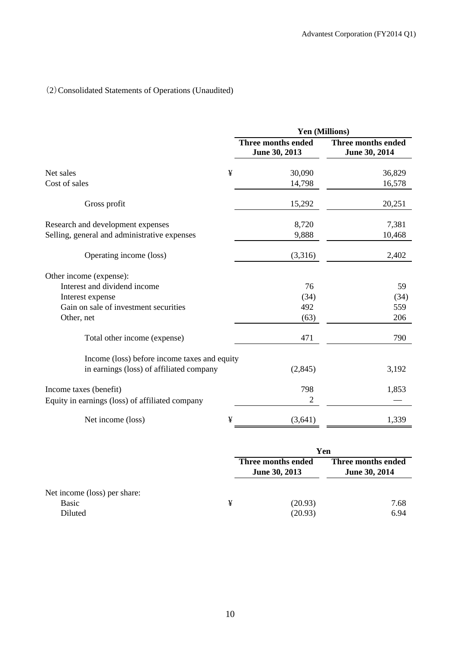# (2)Consolidated Statements of Operations (Unaudited)

|                                                 | Yen (Millions)                      |                                     |  |  |
|-------------------------------------------------|-------------------------------------|-------------------------------------|--|--|
|                                                 | Three months ended<br>June 30, 2013 | Three months ended<br>June 30, 2014 |  |  |
| ¥<br>Net sales                                  | 30,090                              | 36,829                              |  |  |
| Cost of sales                                   | 14,798                              | 16,578                              |  |  |
| Gross profit                                    | 15,292                              | 20,251                              |  |  |
| Research and development expenses               | 8,720                               | 7,381                               |  |  |
| Selling, general and administrative expenses    | 9,888                               | 10,468                              |  |  |
| Operating income (loss)                         | (3,316)                             | 2,402                               |  |  |
| Other income (expense):                         |                                     |                                     |  |  |
| Interest and dividend income                    | 76                                  | 59                                  |  |  |
| Interest expense                                | (34)                                | (34)                                |  |  |
| Gain on sale of investment securities           | 492                                 | 559                                 |  |  |
| Other, net                                      | (63)                                | 206                                 |  |  |
| Total other income (expense)                    | 471                                 | 790                                 |  |  |
| Income (loss) before income taxes and equity    |                                     |                                     |  |  |
| in earnings (loss) of affiliated company        | (2, 845)                            | 3,192                               |  |  |
| Income taxes (benefit)                          | 798                                 | 1,853                               |  |  |
| Equity in earnings (loss) of affiliated company | 2                                   |                                     |  |  |
| ¥<br>Net income (loss)                          | (3,641)                             | 1,339                               |  |  |

|                                                         |   | Yen                                 |                                     |  |  |
|---------------------------------------------------------|---|-------------------------------------|-------------------------------------|--|--|
|                                                         |   | Three months ended<br>June 30, 2013 | Three months ended<br>June 30, 2014 |  |  |
| Net income (loss) per share:<br><b>Basic</b><br>Diluted | ¥ | (20.93)<br>(20.93)                  | 7.68<br>6.94                        |  |  |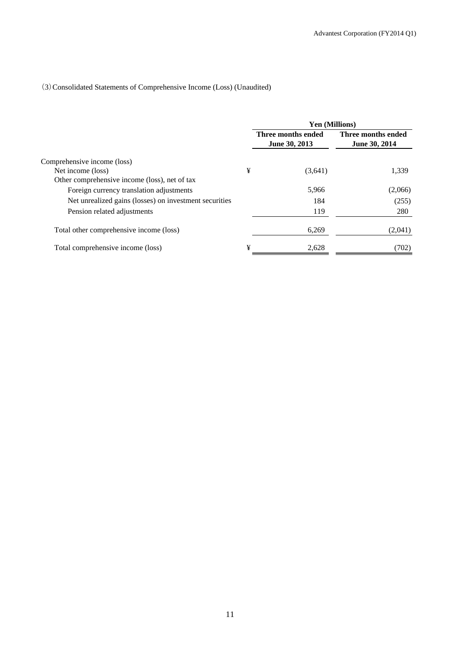## (3)Consolidated Statements of Comprehensive Income (Loss) (Unaudited)

|                                                        |   | <b>Yen (Millions)</b>                      |                                     |  |
|--------------------------------------------------------|---|--------------------------------------------|-------------------------------------|--|
|                                                        |   | Three months ended<br><b>June 30, 2013</b> | Three months ended<br>June 30, 2014 |  |
| Comprehensive income (loss)                            |   |                                            |                                     |  |
| Net income (loss)                                      | ¥ | (3,641)                                    | 1,339                               |  |
| Other comprehensive income (loss), net of tax          |   |                                            |                                     |  |
| Foreign currency translation adjustments               |   | 5,966                                      | (2,066)                             |  |
| Net unrealized gains (losses) on investment securities |   | 184                                        | (255)                               |  |
| Pension related adjustments                            |   | 119                                        | 280                                 |  |
| Total other comprehensive income (loss)                |   | 6,269                                      | (2,041)                             |  |
| Total comprehensive income (loss)                      | ¥ | 2.628                                      | (702)                               |  |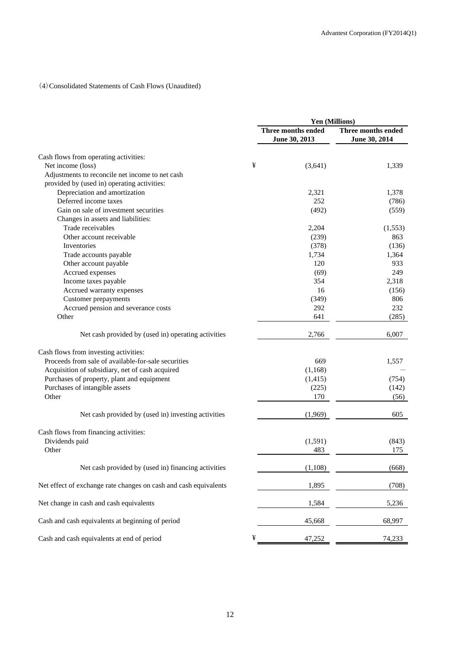## (4)Consolidated Statements of Cash Flows (Unaudited)

|                                                                  | Yen (Millions)                      |                                     |  |
|------------------------------------------------------------------|-------------------------------------|-------------------------------------|--|
|                                                                  | Three months ended<br>June 30, 2013 | Three months ended<br>June 30, 2014 |  |
| Cash flows from operating activities:                            |                                     |                                     |  |
| Net income (loss)                                                | ¥<br>(3,641)                        | 1,339                               |  |
| Adjustments to reconcile net income to net cash                  |                                     |                                     |  |
| provided by (used in) operating activities:                      |                                     |                                     |  |
| Depreciation and amortization                                    | 2,321                               | 1,378                               |  |
| Deferred income taxes                                            | 252                                 | (786)                               |  |
| Gain on sale of investment securities                            | (492)                               | (559)                               |  |
| Changes in assets and liabilities:                               |                                     |                                     |  |
| Trade receivables                                                | 2,204                               | (1, 553)                            |  |
| Other account receivable                                         | (239)                               | 863                                 |  |
| Inventories                                                      | (378)                               | (136)                               |  |
| Trade accounts payable                                           | 1,734                               | 1,364                               |  |
| Other account payable                                            | 120                                 | 933                                 |  |
| Accrued expenses                                                 | (69)                                | 249                                 |  |
| Income taxes payable                                             | 354                                 | 2,318                               |  |
| Accrued warranty expenses                                        | 16                                  | (156)                               |  |
| <b>Customer</b> prepayments                                      | (349)                               | 806                                 |  |
| Accrued pension and severance costs                              | 292                                 | 232                                 |  |
| Other                                                            | 641                                 | (285)                               |  |
|                                                                  |                                     |                                     |  |
| Net cash provided by (used in) operating activities              | 2,766                               | 6,007                               |  |
| Cash flows from investing activities:                            |                                     |                                     |  |
| Proceeds from sale of available-for-sale securities              | 669                                 | 1,557                               |  |
| Acquisition of subsidiary, net of cash acquired                  | (1,168)                             |                                     |  |
| Purchases of property, plant and equipment                       | (1, 415)                            | (754)                               |  |
| Purchases of intangible assets                                   | (225)                               | (142)                               |  |
| Other                                                            | 170                                 | (56)                                |  |
| Net cash provided by (used in) investing activities              | (1,969)                             | 605                                 |  |
|                                                                  |                                     |                                     |  |
| Cash flows from financing activities:                            |                                     |                                     |  |
| Dividends paid                                                   | (1,591)                             | (843)                               |  |
| Other                                                            | 483                                 | 175                                 |  |
| Net cash provided by (used in) financing activities              | (1,108)                             | (668)                               |  |
| Net effect of exchange rate changes on cash and cash equivalents | 1,895                               | (708)                               |  |
| Net change in cash and cash equivalents                          | 1,584                               | 5,236                               |  |
| Cash and cash equivalents at beginning of period                 | 45,668                              | 68,997                              |  |
| Cash and cash equivalents at end of period                       | ¥<br>47,252                         | 74,233                              |  |